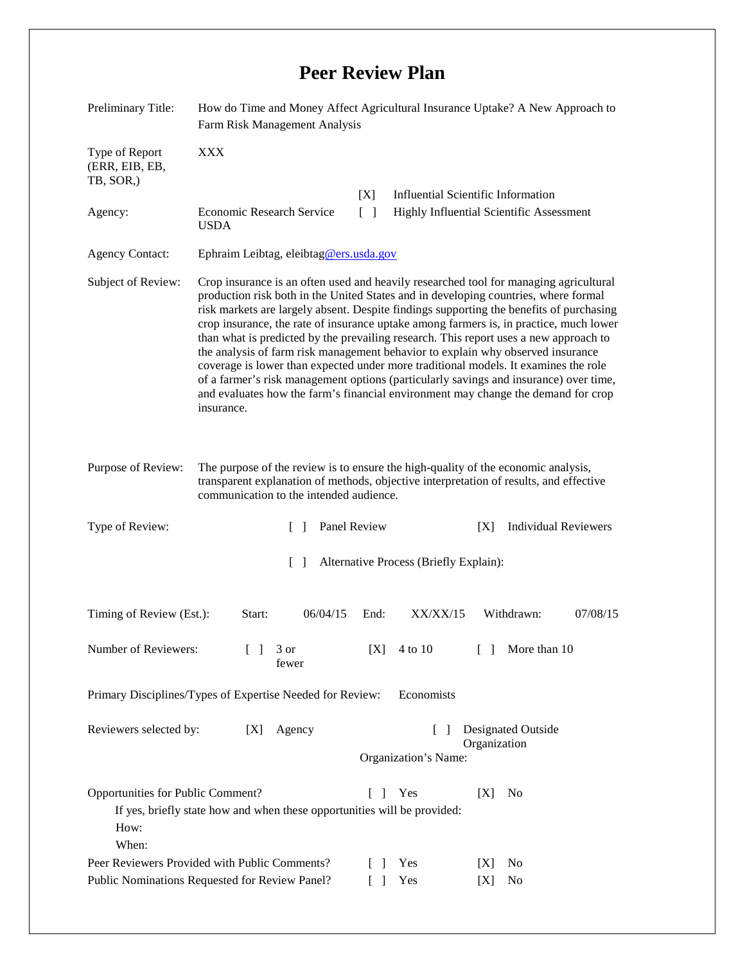## **Peer Review Plan**

| Preliminary Title:                                                                                  | How do Time and Money Affect Agricultural Insurance Uptake? A New Approach to<br>Farm Risk Management Analysis                                                                                                                                                                                                                                                                                                                                                                                                                                                                                                                                                                                                                                                                                                                   |                                                                          |                                                                                 |                                           |            |                      |          |
|-----------------------------------------------------------------------------------------------------|----------------------------------------------------------------------------------------------------------------------------------------------------------------------------------------------------------------------------------------------------------------------------------------------------------------------------------------------------------------------------------------------------------------------------------------------------------------------------------------------------------------------------------------------------------------------------------------------------------------------------------------------------------------------------------------------------------------------------------------------------------------------------------------------------------------------------------|--------------------------------------------------------------------------|---------------------------------------------------------------------------------|-------------------------------------------|------------|----------------------|----------|
| Type of Report<br>(ERR, EIB, EB,<br>TB, SOR,)                                                       | <b>XXX</b>                                                                                                                                                                                                                                                                                                                                                                                                                                                                                                                                                                                                                                                                                                                                                                                                                       |                                                                          |                                                                                 |                                           |            |                      |          |
|                                                                                                     |                                                                                                                                                                                                                                                                                                                                                                                                                                                                                                                                                                                                                                                                                                                                                                                                                                  |                                                                          | [X]                                                                             | <b>Influential Scientific Information</b> |            |                      |          |
| Agency:                                                                                             | Economic Research Service<br>$\lceil \rceil$<br>Highly Influential Scientific Assessment<br><b>USDA</b>                                                                                                                                                                                                                                                                                                                                                                                                                                                                                                                                                                                                                                                                                                                          |                                                                          |                                                                                 |                                           |            |                      |          |
| <b>Agency Contact:</b>                                                                              | Ephraim Leibtag, eleibtag@ers.usda.gov                                                                                                                                                                                                                                                                                                                                                                                                                                                                                                                                                                                                                                                                                                                                                                                           |                                                                          |                                                                                 |                                           |            |                      |          |
| Subject of Review:                                                                                  | Crop insurance is an often used and heavily researched tool for managing agricultural<br>production risk both in the United States and in developing countries, where formal<br>risk markets are largely absent. Despite findings supporting the benefits of purchasing<br>crop insurance, the rate of insurance uptake among farmers is, in practice, much lower<br>than what is predicted by the prevailing research. This report uses a new approach to<br>the analysis of farm risk management behavior to explain why observed insurance<br>coverage is lower than expected under more traditional models. It examines the role<br>of a farmer's risk management options (particularly savings and insurance) over time,<br>and evaluates how the farm's financial environment may change the demand for crop<br>insurance. |                                                                          |                                                                                 |                                           |            |                      |          |
| Purpose of Review:                                                                                  | The purpose of the review is to ensure the high-quality of the economic analysis,<br>transparent explanation of methods, objective interpretation of results, and effective<br>communication to the intended audience.                                                                                                                                                                                                                                                                                                                                                                                                                                                                                                                                                                                                           |                                                                          |                                                                                 |                                           |            |                      |          |
| Type of Review:<br>$\mathbf{L}$                                                                     |                                                                                                                                                                                                                                                                                                                                                                                                                                                                                                                                                                                                                                                                                                                                                                                                                                  |                                                                          | Panel Review<br><b>Individual Reviewers</b><br>[X]                              |                                           |            |                      |          |
| $\lceil \rceil$<br>Alternative Process (Briefly Explain):                                           |                                                                                                                                                                                                                                                                                                                                                                                                                                                                                                                                                                                                                                                                                                                                                                                                                                  |                                                                          |                                                                                 |                                           |            |                      |          |
| Timing of Review (Est.):                                                                            | Start:                                                                                                                                                                                                                                                                                                                                                                                                                                                                                                                                                                                                                                                                                                                                                                                                                           | 06/04/15                                                                 | End:                                                                            | XX/XX/15                                  |            | Withdrawn:           | 07/08/15 |
| Number of Reviewers:<br>$\mathbf{1}$                                                                |                                                                                                                                                                                                                                                                                                                                                                                                                                                                                                                                                                                                                                                                                                                                                                                                                                  | 3 or<br>fewer                                                            | [X]                                                                             | 4 to 10                                   | $\Box$     | More than 10         |          |
| Primary Disciplines/Types of Expertise Needed for Review:<br>Economists                             |                                                                                                                                                                                                                                                                                                                                                                                                                                                                                                                                                                                                                                                                                                                                                                                                                                  |                                                                          |                                                                                 |                                           |            |                      |          |
| Reviewers selected by:<br>[X]                                                                       |                                                                                                                                                                                                                                                                                                                                                                                                                                                                                                                                                                                                                                                                                                                                                                                                                                  | Agency                                                                   | Designated Outside<br>$\lceil \ \rceil$<br>Organization<br>Organization's Name: |                                           |            |                      |          |
| Opportunities for Public Comment?<br>How:<br>When:<br>Peer Reviewers Provided with Public Comments? |                                                                                                                                                                                                                                                                                                                                                                                                                                                                                                                                                                                                                                                                                                                                                                                                                                  | If yes, briefly state how and when these opportunities will be provided: | $\perp$<br>$\Box$                                                               | Yes<br>Yes                                | [X]<br>[X] | N <sub>0</sub><br>No |          |
| Public Nominations Requested for Review Panel?                                                      |                                                                                                                                                                                                                                                                                                                                                                                                                                                                                                                                                                                                                                                                                                                                                                                                                                  |                                                                          |                                                                                 | Yes                                       | [X]        | No                   |          |